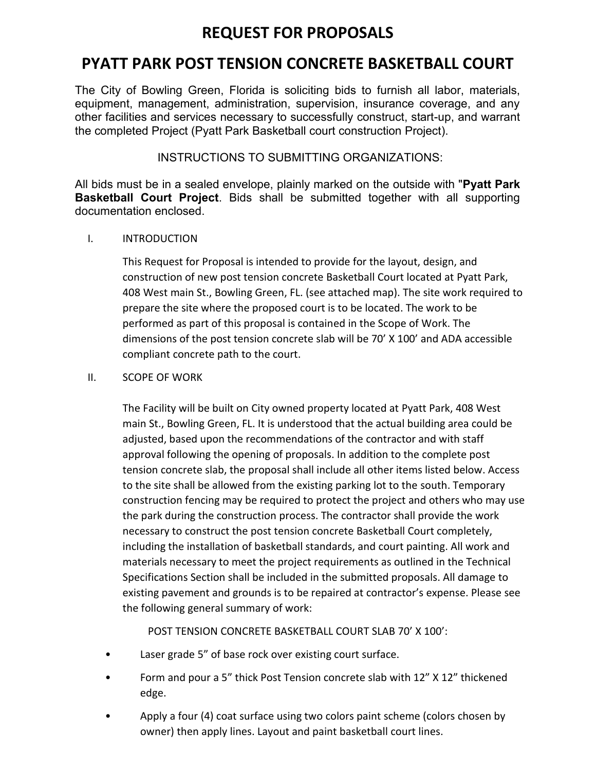# **REQUEST FOR PROPOSALS**

## **PYATT PARK POST TENSION CONCRETE BASKETBALL COURT**

The City of Bowling Green, Florida is soliciting bids to furnish all labor, materials, equipment, management, administration, supervision, insurance coverage, and any other facilities and services necessary to successfully construct, start-up, and warrant the completed Project (Pyatt Park Basketball court construction Project).

INSTRUCTIONS TO SUBMITTING ORGANIZATIONS:

All bids must be in a sealed envelope, plainly marked on the outside with "**Pyatt Park Basketball Court Project**. Bids shall be submitted together with all supporting documentation enclosed.

#### I. INTRODUCTION

This Request for Proposal is intended to provide for the layout, design, and construction of new post tension concrete Basketball Court located at Pyatt Park, 408 West main St., Bowling Green, FL. (see attached map). The site work required to prepare the site where the proposed court is to be located. The work to be performed as part of this proposal is contained in the Scope of Work. The dimensions of the post tension concrete slab will be 70' X 100' and ADA accessible compliant concrete path to the court.

#### II. SCOPE OF WORK

The Facility will be built on City owned property located at Pyatt Park, 408 West main St., Bowling Green, FL. It is understood that the actual building area could be adjusted, based upon the recommendations of the contractor and with staff approval following the opening of proposals. In addition to the complete post tension concrete slab, the proposal shall include all other items listed below. Access to the site shall be allowed from the existing parking lot to the south. Temporary construction fencing may be required to protect the project and others who may use the park during the construction process. The contractor shall provide the work necessary to construct the post tension concrete Basketball Court completely, including the installation of basketball standards, and court painting. All work and materials necessary to meet the project requirements as outlined in the Technical Specifications Section shall be included in the submitted proposals. All damage to existing pavement and grounds is to be repaired at contractor's expense. Please see the following general summary of work:

POST TENSION CONCRETE BASKETBALL COURT SLAB 70' X 100':

- Laser grade 5" of base rock over existing court surface.
- Form and pour a 5" thick Post Tension concrete slab with 12" X 12" thickened edge.
- Apply a four (4) coat surface using two colors paint scheme (colors chosen by owner) then apply lines. Layout and paint basketball court lines.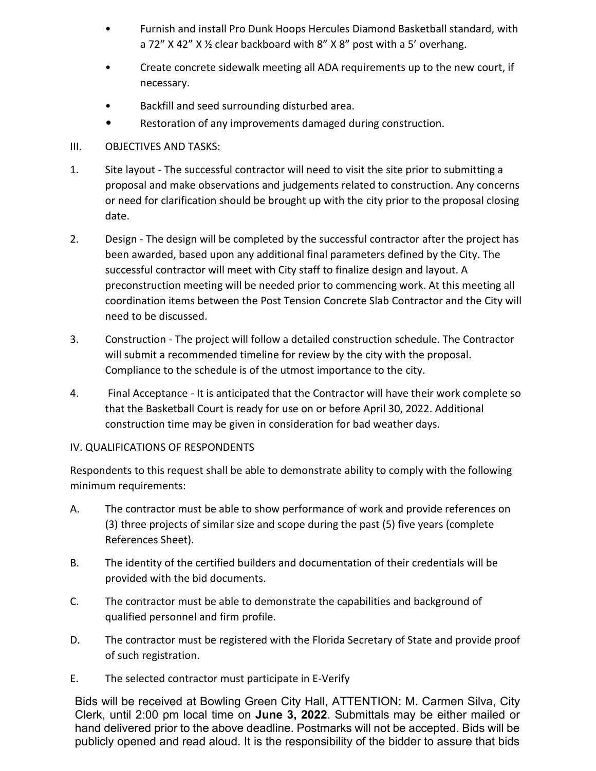- Furnish and install Pro Dunk Hoops Hercules Diamond Basketball standard, with a 72" X 42" X ½ clear backboard with 8" X 8" post with a 5' overhang.
- Create concrete sidewalk meeting all ADA requirements up to the new court, if necessary.
- Backfill and seed surrounding disturbed area.
- Restoration of any improvements damaged during construction.
- III. OBJECTIVES AND TASKS:
- 1. Site layout The successful contractor will need to visit the site prior to submitting a proposal and make observations and judgements related to construction. Any concerns or need for clarification should be brought up with the city prior to the proposal closing date.
- 2. Design The design will be completed by the successful contractor after the project has been awarded, based upon any additional final parameters defined by the City. The successful contractor will meet with City staff to finalize design and layout. A preconstruction meeting will be needed prior to commencing work. At this meeting all coordination items between the Post Tension Concrete Slab Contractor and the City will need to be discussed.
- 3. Construction The project will follow a detailed construction schedule. The Contractor will submit a recommended timeline for review by the city with the proposal. Compliance to the schedule is of the utmost importance to the city.
- 4. Final Acceptance It is anticipated that the Contractor will have their work complete so that the Basketball Court is ready for use on or before April 30, 2022. Additional construction time may be given in consideration for bad weather days.

### IV. QUALIFICATIONS OF RESPONDENTS

Respondents to this request shall be able to demonstrate ability to comply with the following minimum requirements:

- A. The contractor must be able to show performance of work and provide references on (3) three projects of similar size and scope during the past (5) five years (complete References Sheet).
- B. The identity of the certified builders and documentation of their credentials will be provided with the bid documents.
- C. The contractor must be able to demonstrate the capabilities and background of qualified personnel and firm profile.
- D. The contractor must be registered with the Florida Secretary of State and provide proof of such registration.
- E. The selected contractor must participate in E-Verify

Bids will be received at Bowling Green City Hall, ATTENTION: M. Carmen Silva, City Clerk, until 2:00 pm local time on **June 3, 2022**. Submittals may be either mailed or hand delivered prior to the above deadline. Postmarks will not be accepted. Bids will be publicly opened and read aloud. It is the responsibility of the bidder to assure that bids